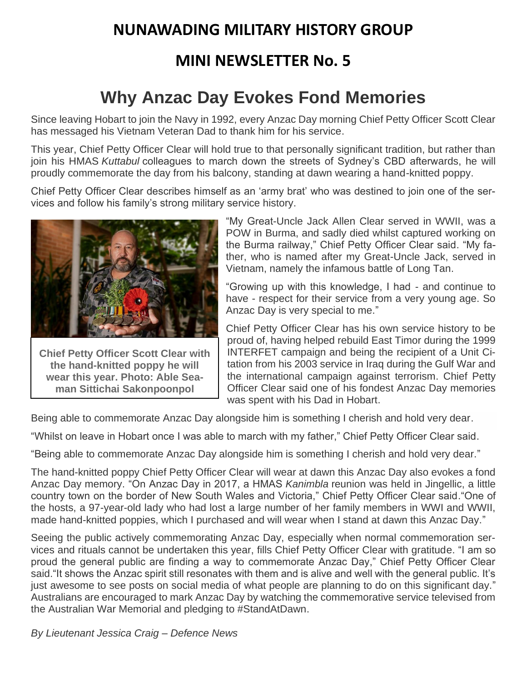## **NUNAWADING MILITARY HISTORY GROUP**

## **MINI NEWSLETTER No. 5**

# **Why Anzac Day Evokes Fond Memories**

Since leaving Hobart to join the Navy in 1992, every Anzac Day morning Chief Petty Officer Scott Clear has messaged his Vietnam Veteran Dad to thank him for his service.

This year, Chief Petty Officer Clear will hold true to that personally significant tradition, but rather than join his HMAS *Kuttabul* colleagues to march down the streets of Sydney's CBD afterwards, he will proudly commemorate the day from his balcony, standing at dawn wearing a hand-knitted poppy.

Chief Petty Officer Clear describes himself as an 'army brat' who was destined to join one of the services and follow his family's strong military service history.



**Chief Petty Officer Scott Clear with the hand-knitted poppy he will wear this year. Photo: Able Seaman Sittichai Sakonpoonpol**

"My Great-Uncle Jack Allen Clear served in WWII, was a POW in Burma, and sadly died whilst captured working on the Burma railway," Chief Petty Officer Clear said. "My father, who is named after my Great-Uncle Jack, served in Vietnam, namely the infamous battle of Long Tan.

"Growing up with this knowledge, I had - and continue to have - respect for their service from a very young age. So Anzac Day is very special to me."

Chief Petty Officer Clear has his own service history to be proud of, having helped rebuild East Timor during the 1999 INTERFET campaign and being the recipient of a Unit Citation from his 2003 service in Iraq during the Gulf War and the international campaign against terrorism. Chief Petty Officer Clear said one of his fondest Anzac Day memories was spent with his Dad in Hobart.

Being able to commemorate Anzac Day alongside him is something I cherish and hold very dear.

"Whilst on leave in Hobart once I was able to march with my father," Chief Petty Officer Clear said.

"Being able to commemorate Anzac Day alongside him is something I cherish and hold very dear."

The hand-knitted poppy Chief Petty Officer Clear will wear at dawn this Anzac Day also evokes a fond Anzac Day memory. "On Anzac Day in 2017, a HMAS *Kanimbla* reunion was held in Jingellic, a little country town on the border of New South Wales and Victoria," Chief Petty Officer Clear said."One of the hosts, a 97-year-old lady who had lost a large number of her family members in WWI and WWII, made hand-knitted poppies, which I purchased and will wear when I stand at dawn this Anzac Day."

Seeing the public actively commemorating Anzac Day, especially when normal commemoration services and rituals cannot be undertaken this year, fills Chief Petty Officer Clear with gratitude. "I am so proud the general public are finding a way to commemorate Anzac Day," Chief Petty Officer Clear said."It shows the Anzac spirit still resonates with them and is alive and well with the general public. It's just awesome to see posts on social media of what people are planning to do on this significant day." Australians are encouraged to mark Anzac Day by watching the commemorative service televised from the Australian War Memorial and pledging to #StandAtDawn.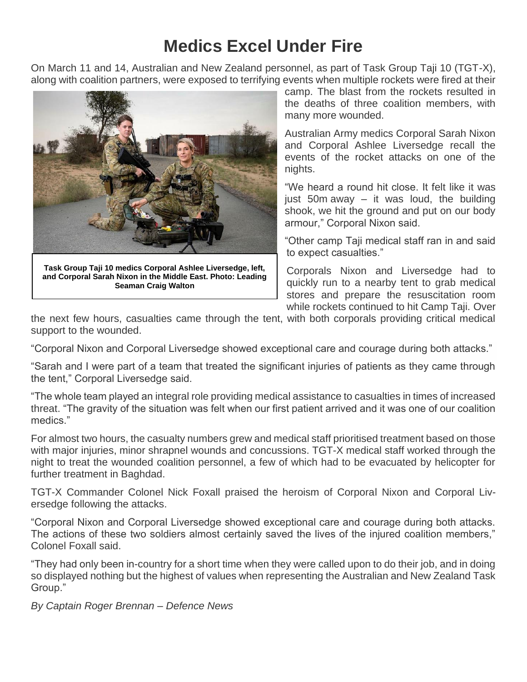# **Medics Excel Under Fire**

On March 11 and 14, Australian and New Zealand personnel, as part of Task Group Taji 10 (TGT-X), along with coalition partners, were exposed to terrifying events when multiple rockets were fired at their



**Task Group Taji 10 medics Corporal Ashlee Liversedge, left, and Corporal Sarah Nixon in the Middle East. Photo: Leading Seaman Craig Walton**

camp. The blast from the rockets resulted in the deaths of three coalition members, with many more wounded.

Australian Army medics Corporal Sarah Nixon and Corporal Ashlee Liversedge recall the events of the rocket attacks on one of the nights.

"We heard a round hit close. It felt like it was just 50m away  $-$  it was loud, the building shook, we hit the ground and put on our body armour," Corporal Nixon said.

"Other camp Taji medical staff ran in and said to expect casualties."

Corporals Nixon and Liversedge had to quickly run to a nearby tent to grab medical stores and prepare the resuscitation room while rockets continued to hit Camp Taji. Over

the next few hours, casualties came through the tent, with both corporals providing critical medical support to the wounded.

"Corporal Nixon and Corporal Liversedge showed exceptional care and courage during both attacks."

"Sarah and I were part of a team that treated the significant injuries of patients as they came through the tent," Corporal Liversedge said.

"The whole team played an integral role providing medical assistance to casualties in times of increased threat. "The gravity of the situation was felt when our first patient arrived and it was one of our coalition medics."

For almost two hours, the casualty numbers grew and medical staff prioritised treatment based on those with major injuries, minor shrapnel wounds and concussions. TGT-X medical staff worked through the night to treat the wounded coalition personnel, a few of which had to be evacuated by helicopter for further treatment in Baghdad.

TGT-X Commander Colonel Nick Foxall praised the heroism of Corporal Nixon and Corporal Liversedge following the attacks.

"Corporal Nixon and Corporal Liversedge showed exceptional care and courage during both attacks. The actions of these two soldiers almost certainly saved the lives of the injured coalition members," Colonel Foxall said.

"They had only been in-country for a short time when they were called upon to do their job, and in doing so displayed nothing but the highest of values when representing the Australian and New Zealand Task Group."

*By Captain Roger Brennan – Defence News*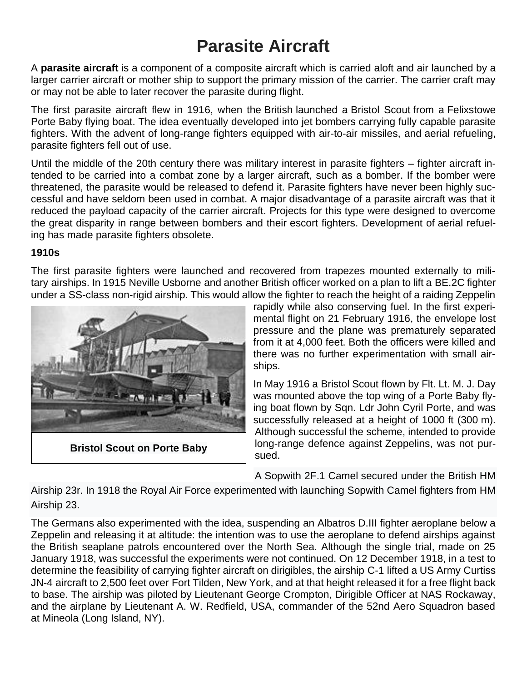# **Parasite Aircraft**

A **parasite aircraft** is a component of a [composite aircraft](https://en.wikipedia.org/wiki/Composite_aircraft) which is carried aloft and [air launched](https://en.wikipedia.org/wiki/Air_launch) by a larger carrier aircraft or [mother ship](https://en.wikipedia.org/wiki/Mother_ship) to support the primary mission of the carrier. The carrier craft may or may not be able to later recover the parasite during flight.

The first parasite aircraft flew in 1916, when the [British](https://en.wikipedia.org/wiki/United_Kingdom) launched a [Bristol Scout](https://en.wikipedia.org/wiki/Bristol_Scout) from a [Felixstowe](https://en.wikipedia.org/wiki/Felixstowe_Porte_Baby)  [Porte Baby](https://en.wikipedia.org/wiki/Felixstowe_Porte_Baby) [flying boat.](https://en.wikipedia.org/wiki/Flying_boat) The idea eventually developed into jet [bombers](https://en.wikipedia.org/wiki/Bomber) carrying fully capable parasite fighters. With the advent of long-range fighters equipped with air-to-air missiles, and [aerial refueling,](https://en.wikipedia.org/wiki/Aerial_refueling) parasite fighters fell out of use.

Until the middle of the 20th century there was military interest in parasite fighters – fighter aircraft intended to be carried into a combat zone by a larger aircraft, such as a [bomber.](https://en.wikipedia.org/wiki/Bomber_aircraft) If the bomber were threatened, the parasite would be released to defend it. Parasite fighters have never been highly successful and have seldom been used in combat. A major disadvantage of a parasite aircraft was that it reduced the payload capacity of the carrier aircraft. Projects for this type were designed to overcome the great disparity in range between bombers and their [escort fighters.](https://en.wikipedia.org/wiki/Escort_fighter) Development of [aerial refuel](https://en.wikipedia.org/wiki/Aerial_refueling)[ing](https://en.wikipedia.org/wiki/Aerial_refueling) has made parasite fighters obsolete.

#### **1910s**

The first parasite fighters were launched and recovered from trapezes mounted externally to military [airships.](https://en.wikipedia.org/wiki/Airship) In 1915 [Neville Usborne](https://en.wikipedia.org/wiki/Neville_Usborne) and another British officer worked on a plan to lift a [BE.2C](https://en.wikipedia.org/wiki/BE.2) fighter under a [SS-class](https://en.wikipedia.org/wiki/SS_class_airship) non-rigid airship. This would allow the fighter to reach the height of a raiding Zeppelin



**[Bristol Scout](https://en.wikipedia.org/wiki/Bristol_Scout) on [Porte Baby](https://en.wikipedia.org/wiki/Porte_Baby)**

rapidly while also conserving fuel. In the first experimental flight on 21 February 1916, the envelope lost pressure and the plane was prematurely separated from it at 4,000 feet. Both the officers were killed and there was no further experimentation with small airships.

In May 1916 a [Bristol Scout](https://en.wikipedia.org/wiki/Bristol_Scout) flown by Flt. Lt. M. J. Day was mounted above the top wing of a [Porte Baby](https://en.wikipedia.org/wiki/Felixstowe_Porte_Baby) flying boat flown by Sqn. Ldr [John Cyril Porte,](https://en.wikipedia.org/wiki/John_Cyril_Porte) and was successfully released at a height of 1000 ft (300 m). Although successful the scheme, intended to provide long-range defence against [Zeppelins,](https://en.wikipedia.org/wiki/Zeppelin) was not pursued.

A [Sopwith 2F.1 Camel](https://en.wikipedia.org/wiki/Sopwith_Camel) secured under the British [HM](https://en.wikipedia.org/wiki/23-class_airship#23r) 

[Airship 23r.](https://en.wikipedia.org/wiki/23-class_airship#23r) In 1918 the [Royal Air Force](https://en.wikipedia.org/wiki/Royal_Air_Force) experimented with launching [Sopwith Camel](https://en.wikipedia.org/wiki/Sopwith_Camel) fighters from [HM](https://en.wikipedia.org/wiki/23-class_airship)  [Airship 23.](https://en.wikipedia.org/wiki/23-class_airship)

The Germans also experimented with the idea, suspending an Albatros D.III fighter aeroplane below a Zeppelin and releasing it at altitude: the intention was to use the aeroplane to defend airships against the British seaplane patrols encountered over the North Sea. Although the single trial, made on 25 January 1918, was successful the experiments were not continued. On 12 December 1918, in a test to determine the feasibility of carrying fighter aircraft on dirigibles, the airship [C-1](https://en.wikipedia.org/wiki/C-class_blimp) lifted a US Army [Curtiss](https://en.wikipedia.org/wiki/Curtiss_JN-4)  [JN-4](https://en.wikipedia.org/wiki/Curtiss_JN-4) aircraft to 2,500 feet over [Fort Tilden,](https://en.wikipedia.org/wiki/Fort_Tilden) New York, and at that height released it for a free flight back to base. The airship was piloted by Lieutenant George Crompton, Dirigible Officer at NAS Rockaway, and the airplane by Lieutenant A. W. Redfield, USA, commander of the 52nd Aero Squadron based at [Mineola](https://en.wikipedia.org/wiki/Roosevelt_Field_(airport)) (Long Island, NY).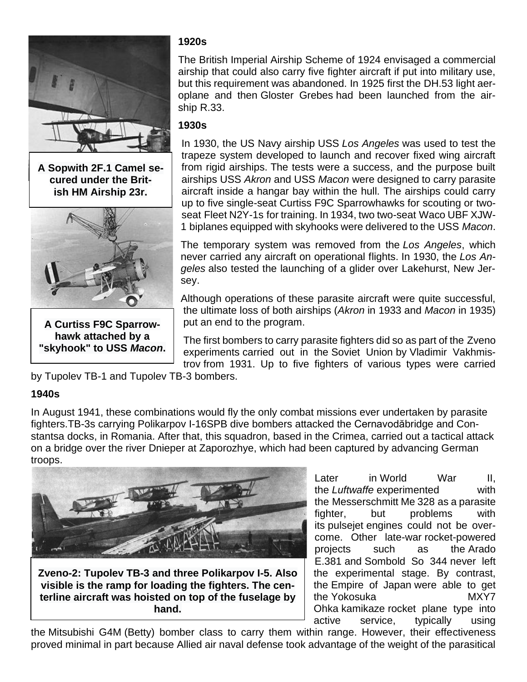

**A [Sopwith 2F.1 Camel](https://en.wikipedia.org/wiki/File:HMA_R_23_Airship_With_Camel_N6814.jpg) secured under the British [HM Airship 23r.](https://en.wikipedia.org/wiki/23-class_airship#23r)**



**A Curtiss F9C Sparrowhawk attached by a "skyhook" to USS** *[Macon](https://en.wikipedia.org/wiki/USS_Macon_(ZRS-5))***.**

### **1920s**

The British [Imperial Airship Scheme](https://en.wikipedia.org/wiki/Imperial_Airship_Scheme) of 1924 envisaged a commercial airship that could also carry five fighter aircraft if put into military use, but this requirement was abandoned. In [1925](https://en.wikipedia.org/wiki/1925_in_aviation) first the [DH.53](https://en.wikipedia.org/wiki/De_Havilland_Humming_Bird) light aeroplane and then Gloster Grebes had been launched from the airship [R.33.](https://en.wikipedia.org/wiki/R33_class_airship)

### **1930s**

In 1930, the US Navy airship USS *[Los Angeles](https://en.wikipedia.org/wiki/USS_Los_Angeles_(ZR-3))* was used to test the trapeze system developed to launch and recover fixed wing aircraft from rigid airships. The tests were a success, and the purpose built airships USS *[Akron](https://en.wikipedia.org/wiki/USS_Akron_(ZRS-4))* and USS *[Macon](https://en.wikipedia.org/wiki/USS_Macon_(ZRS-5))* were designed to carry parasite aircraft inside a hangar bay within the hull. The airships could carry up to five single-seat Curtiss F9C Sparrowhawks for scouting or twoseat [Fleet N2Y-1s](https://en.wikipedia.org/wiki/Fleet_Model_1) for training. In 1934, two two-seat [Waco UBF XJW-](https://en.wikipedia.org/wiki/Waco_Aircraft_Company)[1](https://en.wikipedia.org/wiki/Waco_Aircraft_Company) biplanes equipped with skyhooks were delivered to the USS *[Macon](https://en.wikipedia.org/wiki/USS_Macon_(ZRS-5))*.

The temporary system was removed from the *Los Angeles*, which never carried any aircraft on operational flights. In 1930, the *Los Angeles* also tested the launching of a glider over Lakehurst, New Jersey.

Although operations of these parasite aircraft were quite successful, the ultimate loss of both airships (*Akron* in 1933 and *Macon* in 1935) put an end to the program.

The first bombers to carry parasite fighters did so as part of the Zveno experiments carried out in the [Soviet Union](https://en.wikipedia.org/wiki/Soviet_Union) by Vladimir Vakhmistrov from 1931. Up to five fighters of various types were carried

by [Tupolev TB-1](https://en.wikipedia.org/wiki/Tupolev_TB-1) and [Tupolev TB-3](https://en.wikipedia.org/wiki/Tupolev_TB-3) bombers.

### **1940s**

In August 1941, these combinations would fly the only combat missions ever undertaken by parasite fighters.TB-3s carrying Polikarpov [I-16SPB](https://en.wikipedia.org/wiki/Polikarpov_I-16) dive bombers attacked the Cernavodăbridge and Constantsa docks, in [Romania.](https://en.wikipedia.org/wiki/Romania) After that, this squadron, based in the Crimea, carried out a tactical attack on a bridge over the river [Dnieper](https://en.wikipedia.org/wiki/Dnieper) at Zaporozhye, which had been captured by advancing German troops.



**Zveno-2: [Tupolev TB-3](https://en.wikipedia.org/wiki/Tupolev_TB-3) and three [Polikarpov I-5.](https://en.wikipedia.org/wiki/Polikarpov_I-5) Also visible is the ramp for loading the fighters. The centerline aircraft was hoisted on top of the fuselage by hand.**

Later in [World War II,](https://en.wikipedia.org/wiki/World_War_II) the *[Luftwaffe](https://en.wikipedia.org/wiki/Luftwaffe)* experimented with the [Messerschmitt Me 328](https://en.wikipedia.org/wiki/Messerschmitt_Me_328) as a parasite fighter, but problems with its [pulsejet](https://en.wikipedia.org/wiki/Pulsejet) engines could not be overcome. Other late-war [rocket-](https://en.wikipedia.org/wiki/Rocket)powered projects such as the Arado E.381 and Sombold So 344 never left the experimental stage. By contrast, the [Empire of Japan](https://en.wikipedia.org/wiki/Empire_of_Japan) were able to get the [Yokosuka](https://en.wikipedia.org/wiki/Yokosuka_MXY7_Ohka) MXY7 [Ohka](https://en.wikipedia.org/wiki/Yokosuka_MXY7_Ohka) [kamikaze](https://en.wikipedia.org/wiki/Kamikaze) rocket plane type into active service, typically using

the [Mitsubishi G4M](https://en.wikipedia.org/wiki/Mitsubishi_G4M) (Betty) bomber class to carry them within range. However, their effectiveness proved minimal in part because Allied air naval defense took advantage of the weight of the parasitical